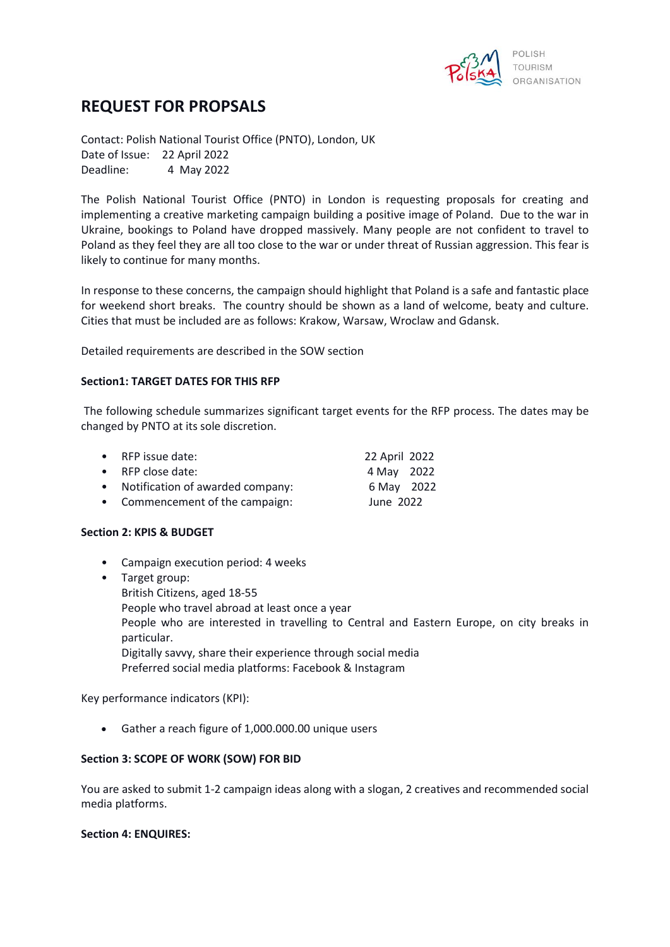

# **REQUEST FOR PROPSALS**

Contact: Polish National Tourist Office (PNTO), London, UK Date of Issue: 22 April 2022 Deadline: 4 May 2022

The Polish National Tourist Office (PNTO) in London is requesting proposals for creating and implementing a creative marketing campaign building a positive image of Poland. Due to the war in Ukraine, bookings to Poland have dropped massively. Many people are not confident to travel to Poland as they feel they are all too close to the war or under threat of Russian aggression. This fear is likely to continue for many months.

In response to these concerns, the campaign should highlight that Poland is a safe and fantastic place for weekend short breaks. The country should be shown as a land of welcome, beaty and culture. Cities that must be included are as follows: Krakow, Warsaw, Wroclaw and Gdansk.

Detailed requirements are described in the SOW section

### **Section1: TARGET DATES FOR THIS RFP**

The following schedule summarizes significant target events for the RFP process. The dates may be changed by PNTO at its sole discretion.

| • RFP issue date:                  | 22 April 2022 |  |
|------------------------------------|---------------|--|
| • RFP close date:                  | 4 May 2022    |  |
| • Notification of awarded company: | 6 May 2022    |  |
| • Commencement of the campaign:    | June 2022     |  |

#### **Section 2: KPIS & BUDGET**

- Campaign execution period: 4 weeks
- Target group: British Citizens, aged 18-55 People who travel abroad at least once a year People who are interested in travelling to Central and Eastern Europe, on city breaks in particular. Digitally savvy, share their experience through social media Preferred social media platforms: Facebook & Instagram

Key performance indicators (KPI):

• Gather a reach figure of 1,000.000.00 unique users

#### **Section 3: SCOPE OF WORK (SOW) FOR BID**

You are asked to submit 1-2 campaign ideas along with a slogan, 2 creatives and recommended social media platforms.

#### **Section 4: ENQUIRES:**